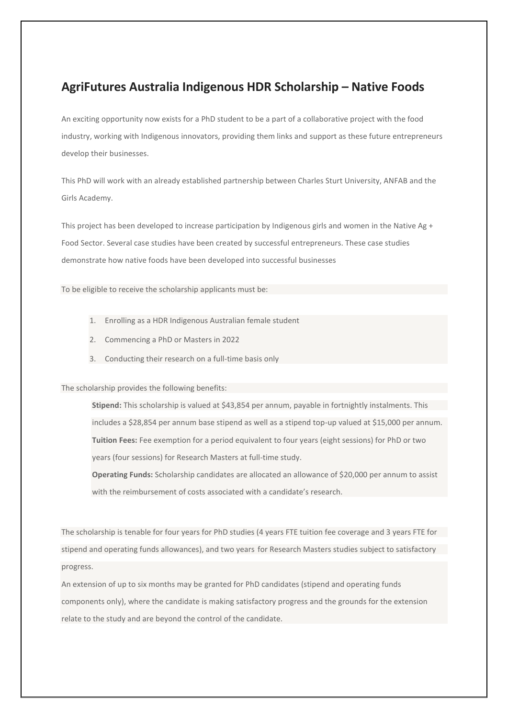# **AgriFutures Australia Indigenous HDR Scholarship – Native Foods**

An exciting opportunity now exists for a PhD student to be a part of a collaborative project with the food industry, working with Indigenous innovators, providing them links and support as these future entrepreneurs develop their businesses.

This PhD will work with an already established partnership between Charles Sturt University, ANFAB and the Girls Academy.

This project has been developed to increase participation by Indigenous girls and women in the Native Ag + Food Sector. Several case studies have been created by successful entrepreneurs. These case studies demonstrate how native foods have been developed into successful businesses

To be eligible to receive the scholarship applicants must be:

- 1. Enrolling as a HDR Indigenous Australian female student
- 2. Commencing a PhD or Masters in 2022
- 3. Conducting their research on a full-time basis only

The scholarship provides the following benefits:

**Stipend:** This scholarship is valued at \$43,854 per annum, payable in fortnightly instalments. This includes a \$28,854 per annum base stipend as well as a stipend top-up valued at \$15,000 per annum. **Tuition Fees:** Fee exemption for a period equivalent to four years (eight sessions) for PhD or two years (four sessions) for Research Masters at full-time study.

**Operating Funds:** Scholarship candidates are allocated an allowance of \$20,000 per annum to assist with the reimbursement of costs associated with a candidate's research.

The scholarship is tenable for four years for PhD studies (4 years FTE tuition fee coverage and 3 years FTE for stipend and operating funds allowances), and two years for Research Masters studies subject to satisfactory progress.

An extension of up to six months may be granted for PhD candidates (stipend and operating funds components only), where the candidate is making satisfactory progress and the grounds for the extension relate to the study and are beyond the control of the candidate.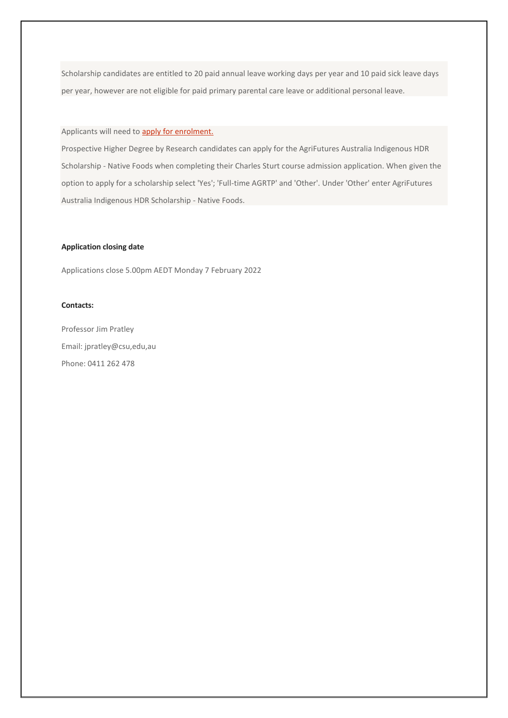Scholarship candidates are entitled to 20 paid annual leave working days per year and 10 paid sick leave days per year, however are not eligible for paid primary parental care leave or additional personal leave.

### Applicants will need to **apply for enrolment**.

Prospective Higher Degree by Research candidates can apply for the AgriFutures Australia Indigenous HDR Scholarship - Native Foods when completing their Charles Sturt course admission application. When given the option to apply for a scholarship select 'Yes'; 'Full-time AGRTP' and 'Other'. Under 'Other' enter AgriFutures Australia Indigenous HDR Scholarship - Native Foods.

### **Application closing date**

Applications close 5.00pm AEDT Monday 7 February 2022

### **Contacts:**

Professor Jim Pratley Email: jpratley@csu,edu,au Phone: 0411 262 478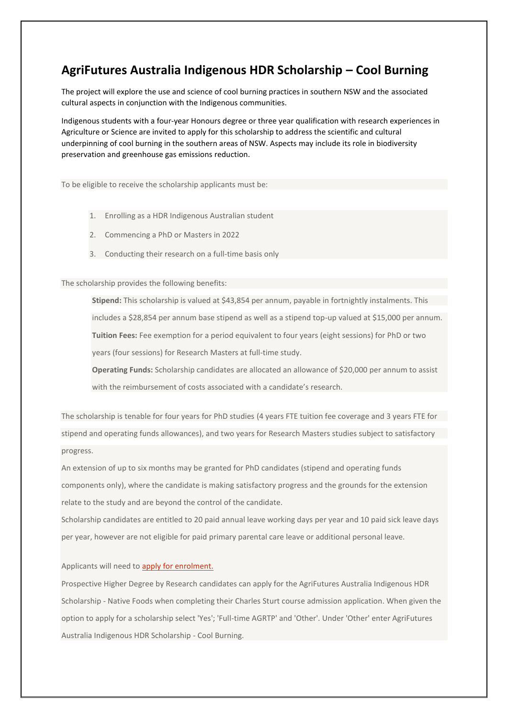# **AgriFutures Australia Indigenous HDR Scholarship – Cool Burning**

The project will explore the use and science of cool burning practices in southern NSW and the associated cultural aspects in conjunction with the Indigenous communities.

Indigenous students with a four-year Honours degree or three year qualification with research experiences in Agriculture or Science are invited to apply for this scholarship to address the scientific and cultural underpinning of cool burning in the southern areas of NSW. Aspects may include its role in biodiversity preservation and greenhouse gas emissions reduction.

To be eligible to receive the scholarship applicants must be:

- 1. Enrolling as a HDR Indigenous Australian student
- 2. Commencing a PhD or Masters in 2022
- 3. Conducting their research on a full-time basis only

The scholarship provides the following benefits:

**Stipend:** This scholarship is valued at \$43,854 per annum, payable in fortnightly instalments. This includes a \$28,854 per annum base stipend as well as a stipend top-up valued at \$15,000 per annum. **Tuition Fees:** Fee exemption for a period equivalent to four years (eight sessions) for PhD or two years (four sessions) for Research Masters at full-time study.

**Operating Funds:** Scholarship candidates are allocated an allowance of \$20,000 per annum to assist with the reimbursement of costs associated with a candidate's research.

The scholarship is tenable for four years for PhD studies (4 years FTE tuition fee coverage and 3 years FTE for stipend and operating funds allowances), and two years for Research Masters studies subject to satisfactory progress.

An extension of up to six months may be granted for PhD candidates (stipend and operating funds components only), where the candidate is making satisfactory progress and the grounds for the extension relate to the study and are beyond the control of the candidate.

Scholarship candidates are entitled to 20 paid annual leave working days per year and 10 paid sick leave days per year, however are not eligible for paid primary parental care leave or additional personal leave.

Applicants will need to [apply for enrolment.](https://study.csu.edu.au/courses/science/doctor-philosophy-science)

Prospective Higher Degree by Research candidates can apply for the AgriFutures Australia Indigenous HDR Scholarship - Native Foods when completing their Charles Sturt course admission application. When given the option to apply for a scholarship select 'Yes'; 'Full-time AGRTP' and 'Other'. Under 'Other' enter AgriFutures Australia Indigenous HDR Scholarship - Cool Burning.